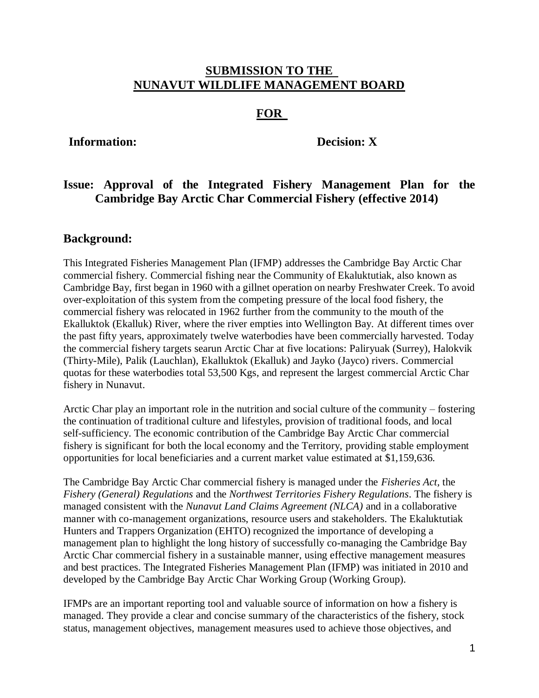## **SUBMISSION TO THE NUNAVUT WILDLIFE MANAGEMENT BOARD**

# **FOR**

## **Information: Decision: X**

# **Issue: Approval of the Integrated Fishery Management Plan for the Cambridge Bay Arctic Char Commercial Fishery (effective 2014)**

## **Background:**

This Integrated Fisheries Management Plan (IFMP) addresses the Cambridge Bay Arctic Char commercial fishery. Commercial fishing near the Community of Ekaluktutiak, also known as Cambridge Bay, first began in 1960 with a gillnet operation on nearby Freshwater Creek. To avoid over-exploitation of this system from the competing pressure of the local food fishery, the commercial fishery was relocated in 1962 further from the community to the mouth of the Ekalluktok (Ekalluk) River, where the river empties into Wellington Bay. At different times over the past fifty years, approximately twelve waterbodies have been commercially harvested. Today the commercial fishery targets searun Arctic Char at five locations: Paliryuak (Surrey), Halokvik (Thirty-Mile), Palik (Lauchlan), Ekalluktok (Ekalluk) and Jayko (Jayco) rivers. Commercial quotas for these waterbodies total 53,500 Kgs, and represent the largest commercial Arctic Char fishery in Nunavut.

Arctic Char play an important role in the nutrition and social culture of the community – fostering the continuation of traditional culture and lifestyles, provision of traditional foods, and local self-sufficiency. The economic contribution of the Cambridge Bay Arctic Char commercial fishery is significant for both the local economy and the Territory, providing stable employment opportunities for local beneficiaries and a current market value estimated at \$1,159,636.

The Cambridge Bay Arctic Char commercial fishery is managed under the *Fisheries Act,* the *Fishery (General) Regulations* and the *Northwest Territories Fishery Regulations*. The fishery is managed consistent with the *Nunavut Land Claims Agreement (NLCA)* and in a collaborative manner with co-management organizations, resource users and stakeholders. The Ekaluktutiak Hunters and Trappers Organization (EHTO) recognized the importance of developing a management plan to highlight the long history of successfully co-managing the Cambridge Bay Arctic Char commercial fishery in a sustainable manner, using effective management measures and best practices. The Integrated Fisheries Management Plan (IFMP) was initiated in 2010 and developed by the Cambridge Bay Arctic Char Working Group (Working Group).

IFMPs are an important reporting tool and valuable source of information on how a fishery is managed. They provide a clear and concise summary of the characteristics of the fishery, stock status, management objectives, management measures used to achieve those objectives, and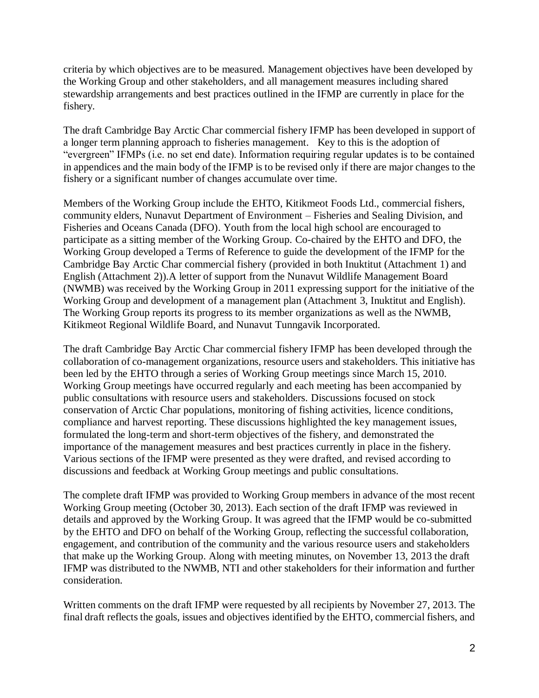criteria by which objectives are to be measured. Management objectives have been developed by the Working Group and other stakeholders, and all management measures including shared stewardship arrangements and best practices outlined in the IFMP are currently in place for the fishery.

The draft Cambridge Bay Arctic Char commercial fishery IFMP has been developed in support of a longer term planning approach to fisheries management. Key to this is the adoption of "evergreen" IFMPs (i.e. no set end date). Information requiring regular updates is to be contained in appendices and the main body of the IFMP is to be revised only if there are major changes to the fishery or a significant number of changes accumulate over time.

Members of the Working Group include the EHTO, Kitikmeot Foods Ltd., commercial fishers, community elders, Nunavut Department of Environment – Fisheries and Sealing Division, and Fisheries and Oceans Canada (DFO). Youth from the local high school are encouraged to participate as a sitting member of the Working Group. Co-chaired by the EHTO and DFO, the Working Group developed a Terms of Reference to guide the development of the IFMP for the Cambridge Bay Arctic Char commercial fishery (provided in both Inuktitut (Attachment 1) and English (Attachment 2)).A letter of support from the Nunavut Wildlife Management Board (NWMB) was received by the Working Group in 2011 expressing support for the initiative of the Working Group and development of a management plan (Attachment 3, Inuktitut and English). The Working Group reports its progress to its member organizations as well as the NWMB, Kitikmeot Regional Wildlife Board, and Nunavut Tunngavik Incorporated.

The draft Cambridge Bay Arctic Char commercial fishery IFMP has been developed through the collaboration of co-management organizations, resource users and stakeholders. This initiative has been led by the EHTO through a series of Working Group meetings since March 15, 2010. Working Group meetings have occurred regularly and each meeting has been accompanied by public consultations with resource users and stakeholders. Discussions focused on stock conservation of Arctic Char populations, monitoring of fishing activities, licence conditions, compliance and harvest reporting. These discussions highlighted the key management issues, formulated the long-term and short-term objectives of the fishery, and demonstrated the importance of the management measures and best practices currently in place in the fishery. Various sections of the IFMP were presented as they were drafted, and revised according to discussions and feedback at Working Group meetings and public consultations.

The complete draft IFMP was provided to Working Group members in advance of the most recent Working Group meeting (October 30, 2013). Each section of the draft IFMP was reviewed in details and approved by the Working Group. It was agreed that the IFMP would be co-submitted by the EHTO and DFO on behalf of the Working Group, reflecting the successful collaboration, engagement, and contribution of the community and the various resource users and stakeholders that make up the Working Group. Along with meeting minutes, on November 13, 2013 the draft IFMP was distributed to the NWMB, NTI and other stakeholders for their information and further consideration.

Written comments on the draft IFMP were requested by all recipients by November 27, 2013. The final draft reflects the goals, issues and objectives identified by the EHTO, commercial fishers, and